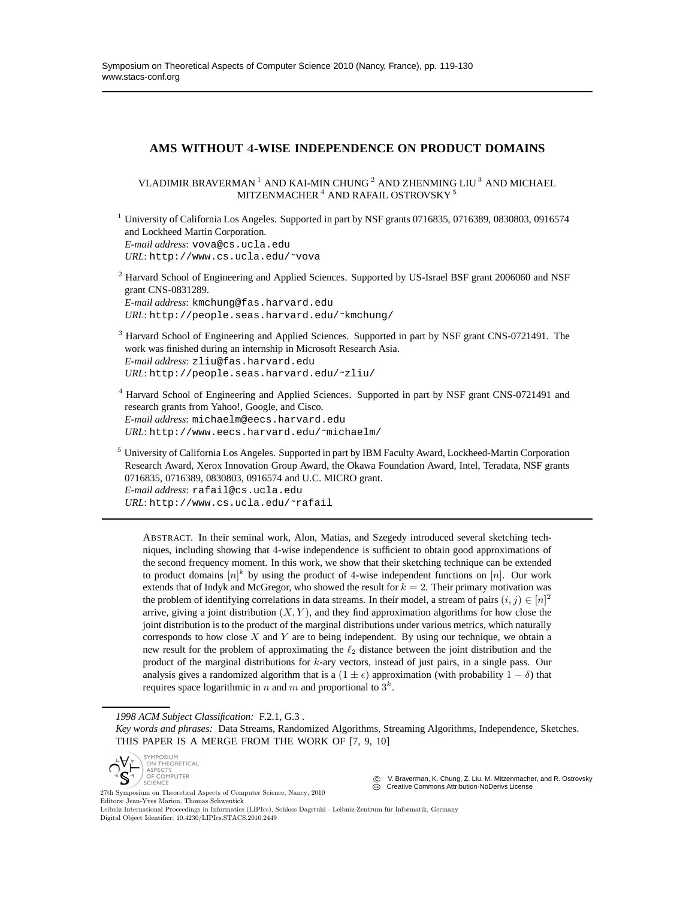# **AMS WITHOUT** 4**-WISE INDEPENDENCE ON PRODUCT DOMAINS**

VLADIMIR BRAVERMAN <sup>1</sup> AND KAI-MIN CHUNG <sup>2</sup> AND ZHENMING LIU <sup>3</sup> AND MICHAEL MITZENMACHER<sup>4</sup> AND RAFAIL OSTROVSKY<sup>5</sup>

<sup>1</sup> University of California Los Angeles. Supported in part by NSF grants 0716835, 0716389, 0830803, 0916574 and Lockheed Martin Corporation. *E-mail address*: vova@cs.ucla.edu *URL*: http://www.cs.ucla.edu/˜vova

 $2$  Harvard School of Engineering and Applied Sciences. Supported by US-Israel BSF grant 2006060 and NSF grant CNS-0831289. *E-mail address*: kmchung@fas.harvard.edu *URL*: http://people.seas.harvard.edu/˜kmchung/

<sup>3</sup> Harvard School of Engineering and Applied Sciences. Supported in part by NSF grant CNS-0721491. The work was finished during an internship in Microsoft Research Asia. *E-mail address*: zliu@fas.harvard.edu *URL*: http://people.seas.harvard.edu/˜zliu/

<sup>4</sup> Harvard School of Engineering and Applied Sciences. Supported in part by NSF grant CNS-0721491 and research grants from Yahoo!, Google, and Cisco. *E-mail address*: michaelm@eecs.harvard.edu *URL*: http://www.eecs.harvard.edu/˜michaelm/

 $5$  University of California Los Angeles. Supported in part by IBM Faculty Award, Lockheed-Martin Corporation Research Award, Xerox Innovation Group Award, the Okawa Foundation Award, Intel, Teradata, NSF grants 0716835, 0716389, 0830803, 0916574 and U.C. MICRO grant. *E-mail address*: rafail@cs.ucla.edu *URL*: http://www.cs.ucla.edu/˜rafail

ABSTRACT. In their seminal work, Alon, Matias, and Szegedy introduced several sketching techniques, including showing that 4-wise independence is sufficient to obtain good approximations of the second frequency moment. In this work, we show that their sketching technique can be extended to product domains  $[n]^k$  by using the product of 4-wise independent functions on  $[n]$ . Our work extends that of Indyk and McGregor, who showed the result for  $k = 2$ . Their primary motivation was the problem of identifying correlations in data streams. In their model, a stream of pairs  $(i, j) \in [n]^2$ arrive, giving a joint distribution  $(X, Y)$ , and they find approximation algorithms for how close the joint distribution is to the product of the marginal distributions under various metrics, which naturally corresponds to how close  $X$  and  $Y$  are to being independent. By using our technique, we obtain a new result for the problem of approximating the  $\ell_2$  distance between the joint distribution and the product of the marginal distributions for k-ary vectors, instead of just pairs, in a single pass. Our analysis gives a randomized algorithm that is a  $(1 \pm \epsilon)$  approximation (with probability  $1 - \delta$ ) that requires space logarithmic in n and m and proportional to  $3^k$ .

*1998 ACM Subject Classification:* F.2.1, G.3 .

*Key words and phrases:* Data Streams, Randomized Algorithms, Streaming Algorithms, Independence, Sketches. THIS PAPER IS A MERGE FROM THE WORK OF [7, 9, 10]



V. Braverman, K. Chung, Z. Liu, M. Mitzenmacher, and R. Ostrovsky CCC Creative Commons Attribution-NoDerivs License

27th Symposium on Theoretical Aspects of Computer Science, Nancy, 2010 Editors: Jean-Yves Marion, Thomas Schwentick Leibniz International Proceedings in Informatics (LIPIcs), Schloss Dagstuhl - Leibniz-Zentrum für Informatik, Germany Digital Object Identifier: 10.4230/LIPIcs.STACS.2010.2449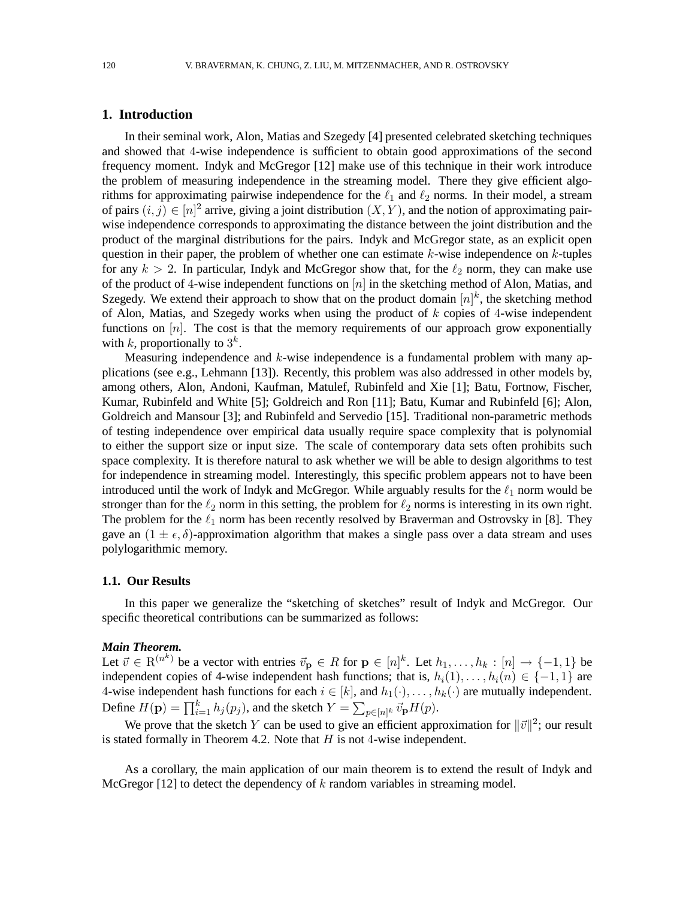## **1. Introduction**

In their seminal work, Alon, Matias and Szegedy [4] presented celebrated sketching techniques and showed that 4-wise independence is sufficient to obtain good approximations of the second frequency moment. Indyk and McGregor [12] make use of this technique in their work introduce the problem of measuring independence in the streaming model. There they give efficient algorithms for approximating pairwise independence for the  $\ell_1$  and  $\ell_2$  norms. In their model, a stream of pairs  $(i, j) \in [n]^2$  arrive, giving a joint distribution  $(X, Y)$ , and the notion of approximating pairwise independence corresponds to approximating the distance between the joint distribution and the product of the marginal distributions for the pairs. Indyk and McGregor state, as an explicit open question in their paper, the problem of whether one can estimate  $k$ -wise independence on  $k$ -tuples for any  $k > 2$ . In particular, Indyk and McGregor show that, for the  $\ell_2$  norm, they can make use of the product of 4-wise independent functions on  $[n]$  in the sketching method of Alon, Matias, and Szegedy. We extend their approach to show that on the product domain  $[n]^k$ , the sketching method of Alon, Matias, and Szegedy works when using the product of  $k$  copies of 4-wise independent functions on  $[n]$ . The cost is that the memory requirements of our approach grow exponentially with k, proportionally to  $3^k$ .

Measuring independence and  $k$ -wise independence is a fundamental problem with many applications (see e.g., Lehmann [13]). Recently, this problem was also addressed in other models by, among others, Alon, Andoni, Kaufman, Matulef, Rubinfeld and Xie [1]; Batu, Fortnow, Fischer, Kumar, Rubinfeld and White [5]; Goldreich and Ron [11]; Batu, Kumar and Rubinfeld [6]; Alon, Goldreich and Mansour [3]; and Rubinfeld and Servedio [15]. Traditional non-parametric methods of testing independence over empirical data usually require space complexity that is polynomial to either the support size or input size. The scale of contemporary data sets often prohibits such space complexity. It is therefore natural to ask whether we will be able to design algorithms to test for independence in streaming model. Interestingly, this specific problem appears not to have been introduced until the work of Indyk and McGregor. While arguably results for the  $\ell_1$  norm would be stronger than for the  $\ell_2$  norm in this setting, the problem for  $\ell_2$  norms is interesting in its own right. The problem for the  $\ell_1$  norm has been recently resolved by Braverman and Ostrovsky in [8]. They gave an  $(1 \pm \epsilon, \delta)$ -approximation algorithm that makes a single pass over a data stream and uses polylogarithmic memory.

### **1.1. Our Results**

In this paper we generalize the "sketching of sketches" result of Indyk and McGregor. Our specific theoretical contributions can be summarized as follows:

#### *Main Theorem.*

Let  $\vec{v} \in \mathcal{R}^{(n^k)}$  be a vector with entries  $\vec{v}_p \in R$  for  $p \in [n]^k$ . Let  $h_1, \ldots, h_k : [n] \to \{-1, 1\}$  be independent copies of 4-wise independent hash functions; that is,  $h_i(1), \ldots, h_i(n) \in \{-1, 1\}$  are 4-wise independent hash functions for each  $i \in [k]$ , and  $h_1(\cdot), \ldots, h_k(\cdot)$  are mutually independent. Define  $H(\mathbf{p}) = \prod_{i=1}^{k} h_j(p_j)$ , and the sketch  $Y = \sum_{p \in [n]^k} \vec{v}_{\mathbf{p}} H(p)$ .

We prove that the sketch Y can be used to give an efficient approximation for  $\|\vec{v}\|^2$ ; our result is stated formally in Theorem 4.2. Note that  $H$  is not 4-wise independent.

As a corollary, the main application of our main theorem is to extend the result of Indyk and McGregor  $[12]$  to detect the dependency of k random variables in streaming model.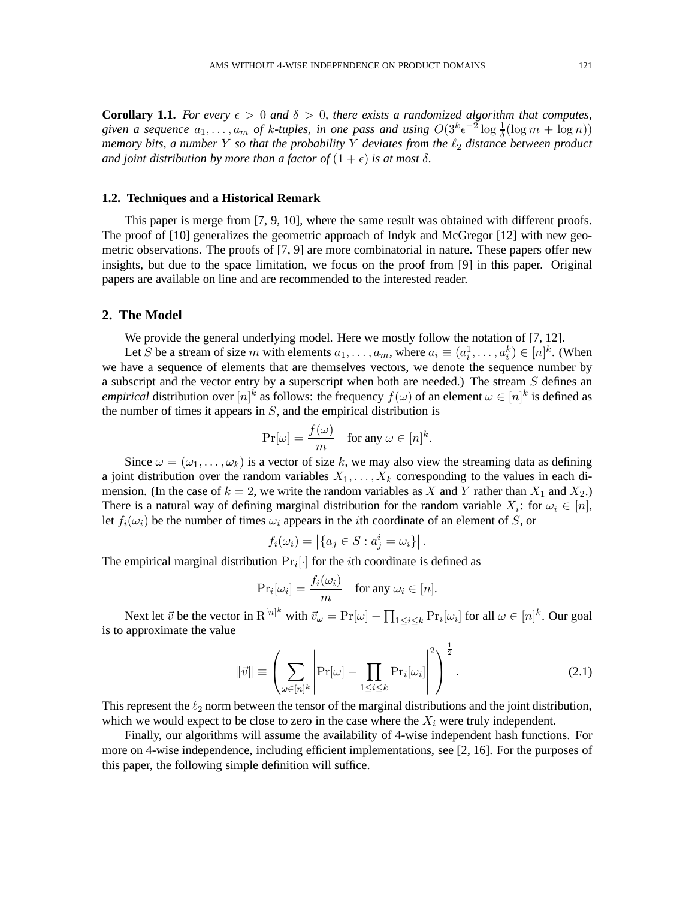**Corollary 1.1.** *For every*  $\epsilon > 0$  *and*  $\delta > 0$ *, there exists a randomized algorithm that computes,* given a sequence  $a_1, \ldots, a_m$  of k-tuples, in one pass and using  $O(3^k \epsilon^{-2} \log \frac{1}{\delta} (\log m + \log n))$ *memory bits, a number* Y *so that the probability* Y *deviates from the*  $\ell_2$  *distance between product and joint distribution by more than a factor of*  $(1 + \epsilon)$  *is at most*  $\delta$ *.* 

### **1.2. Techniques and a Historical Remark**

This paper is merge from [7, 9, 10], where the same result was obtained with different proofs. The proof of [10] generalizes the geometric approach of Indyk and McGregor [12] with new geometric observations. The proofs of [7, 9] are more combinatorial in nature. These papers offer new insights, but due to the space limitation, we focus on the proof from [9] in this paper. Original papers are available on line and are recommended to the interested reader.

## **2. The Model**

We provide the general underlying model. Here we mostly follow the notation of [7, 12].

Let S be a stream of size m with elements  $a_1, \ldots, a_m$ , where  $a_i \equiv (a_i^1, \ldots, a_i^k) \in [n]^k$ . (When we have a sequence of elements that are themselves vectors, we denote the sequence number by a subscript and the vector entry by a superscript when both are needed.) The stream S defines an *empirical* distribution over  $[n]^k$  as follows: the frequency  $f(\omega)$  of an element  $\omega \in [n]^k$  is defined as the number of times it appears in  $S$ , and the empirical distribution is

$$
\Pr[\omega] = \frac{f(\omega)}{m} \quad \text{for any } \omega \in [n]^k.
$$

Since  $\omega = (\omega_1, \dots, \omega_k)$  is a vector of size k, we may also view the streaming data as defining a joint distribution over the random variables  $X_1, \ldots, X_k$  corresponding to the values in each dimension. (In the case of  $k = 2$ , we write the random variables as X and Y rather than  $X_1$  and  $X_2$ .) There is a natural way of defining marginal distribution for the random variable  $X_i$ : for  $\omega_i \in [n]$ , let  $f_i(\omega_i)$  be the number of times  $\omega_i$  appears in the *i*th coordinate of an element of S, or

$$
f_i(\omega_i) = |\{a_j \in S : a_j^i = \omega_i\}|.
$$

The empirical marginal distribution  $Pr_i[\cdot]$  for the *i*th coordinate is defined as

$$
\Pr_i[\omega_i] = \frac{f_i(\omega_i)}{m} \quad \text{for any } \omega_i \in [n].
$$

Next let  $\vec{v}$  be the vector in  $R^{[n]^{k}}$  with  $\vec{v}_{\omega} = \Pr[\omega] - \prod_{1 \leq i \leq k} \Pr_i[\omega_i]$  for all  $\omega \in [n]^{k}$ . Our goal is to approximate the value

$$
\|\vec{v}\| \equiv \left(\sum_{\omega \in [n]^k} \left| \Pr[\omega] - \prod_{1 \le i \le k} \Pr_i[\omega_i] \right|^2 \right)^{\frac{1}{2}}.
$$
 (2.1)

This represent the  $\ell_2$  norm between the tensor of the marginal distributions and the joint distribution, which we would expect to be close to zero in the case where the  $X_i$  were truly independent.

Finally, our algorithms will assume the availability of 4-wise independent hash functions. For more on 4-wise independence, including efficient implementations, see [2, 16]. For the purposes of this paper, the following simple definition will suffice.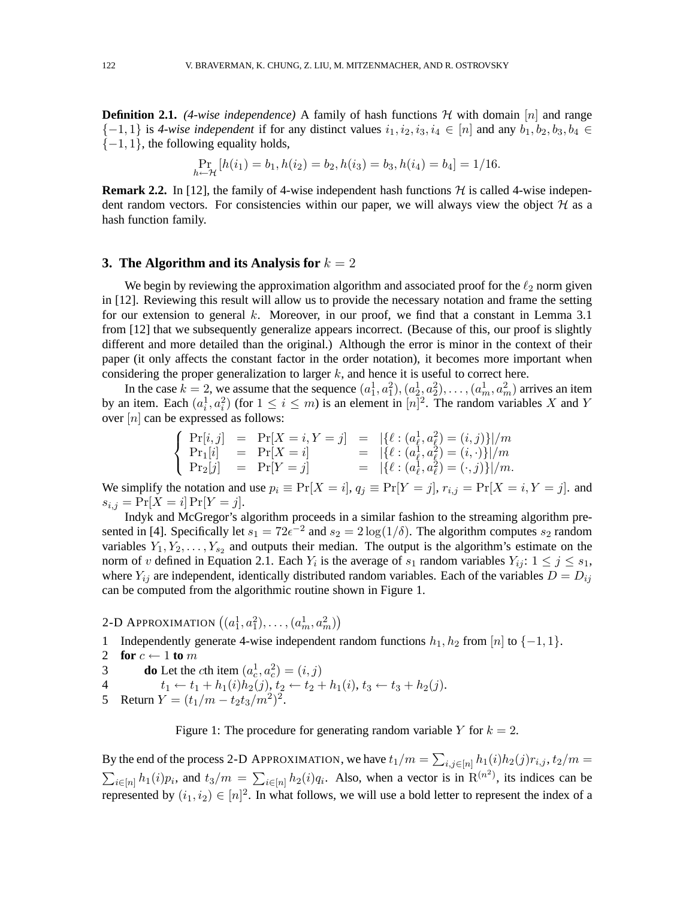**Definition 2.1.** *(4-wise independence)* A family of hash functions  $H$  with domain [n] and range  $\{-1,1\}$  is 4-wise independent if for any distinct values  $i_1, i_2, i_3, i_4 \in [n]$  and any  $b_1, b_2, b_3, b_4 \in$  $\{-1, 1\}$ , the following equality holds,

$$
\Pr_{h \leftarrow \mathcal{H}}\left[h(i_1) = b_1, h(i_2) = b_2, h(i_3) = b_3, h(i_4) = b_4\right] = 1/16.
$$

**Remark 2.2.** In [12], the family of 4-wise independent hash functions  $H$  is called 4-wise independent random vectors. For consistencies within our paper, we will always view the object  $H$  as a hash function family.

### **3. The Algorithm and its Analysis for**  $k = 2$

We begin by reviewing the approximation algorithm and associated proof for the  $\ell_2$  norm given in [12]. Reviewing this result will allow us to provide the necessary notation and frame the setting for our extension to general  $k$ . Moreover, in our proof, we find that a constant in Lemma 3.1 from [12] that we subsequently generalize appears incorrect. (Because of this, our proof is slightly different and more detailed than the original.) Although the error is minor in the context of their paper (it only affects the constant factor in the order notation), it becomes more important when considering the proper generalization to larger  $k$ , and hence it is useful to correct here.

In the case  $k = 2$ , we assume that the sequence  $(a_1^1, a_1^2), (a_2^1, a_2^2), \ldots, (a_m^1, a_m^2)$  arrives an item by an item. Each  $(a_i^1, a_i^2)$  (for  $1 \le i \le m$ ) is an element in  $[n]^2$ . The random variables X and Y over  $[n]$  can be expressed as follows:

$$
\left\{\begin{array}{lll} \Pr[i,j] &=& \Pr[X=i,Y=j] &=& |\{\ell:(a^1_\ell,a^2_\ell)=(i,j)\}|/m \\ \Pr_1[i] &=& \Pr[X=i] &=& |\{\ell:(a^1_\ell,a^2_\ell)=(i,\cdot)\}|/m \\ \Pr_2[j] &=& \Pr[Y=j] &=& |\{\ell:(a^1_\ell,a^2_\ell)=(\cdot,j)\}|/m. \end{array}\right.
$$

We simplify the notation and use  $p_i \equiv \Pr[X = i]$ ,  $q_i \equiv \Pr[Y = j]$ ,  $r_{i,j} = \Pr[X = i, Y = j]$ . and  $s_{i,j} = \Pr[X = i] \Pr[Y = j].$ 

Indyk and McGregor's algorithm proceeds in a similar fashion to the streaming algorithm presented in [4]. Specifically let  $s_1 = 72e^{-2}$  and  $s_2 = 2\log(1/\delta)$ . The algorithm computes  $s_2$  random variables  $Y_1, Y_2, \ldots, Y_{s_2}$  and outputs their median. The output is the algorithm's estimate on the norm of v defined in Equation 2.1. Each  $Y_i$  is the average of  $s_1$  random variables  $Y_{ij}$ :  $1 \leq j \leq s_1$ , where  $Y_{ij}$  are independent, identically distributed random variables. Each of the variables  $D = D_{ij}$ can be computed from the algorithmic routine shown in Figure 1.

2-D APPROXIMATION  $((a_1^1, a_1^2), \ldots, (a_m^1, a_m^2))$ 

- 1 Independently generate 4-wise independent random functions  $h_1, h_2$  from [n] to  $\{-1, 1\}$ .
- 2 **for**  $c \leftarrow 1$  **to** m
- 3 **do** Let the *c*th item  $(a_c^1, a_c^2) = (i, j)$
- 4 **c** can neit  $(a_c, a_c) = (i, j)$ <br>
4  $t_1 \leftarrow t_1 + h_1(i)h_2(j), t_2 \leftarrow t_2 + h_1(i), t_3 \leftarrow t_3 + h_2(j).$
- 5 Return  $Y = (t_1/m t_2t_3/m^2)^2$ .

Figure 1: The procedure for generating random variable Y for  $k = 2$ .

By the end of the process 2-D APPROXIMATION, we have  $t_1/m = \sum_{i,j \in [n]} h_1(i)h_2(j)r_{i,j}, t_2/m =$  $\sum_{i\in[n]}h_1(i)p_i$ , and  $t_3/m = \sum_{i\in[n]}h_2(i)q_i$ . Also, when a vector is in  $\mathbb{R}^{(n^2)}$ , its indices can be represented by  $(i_1, i_2) \in [n]^2$ . In what follows, we will use a bold letter to represent the index of a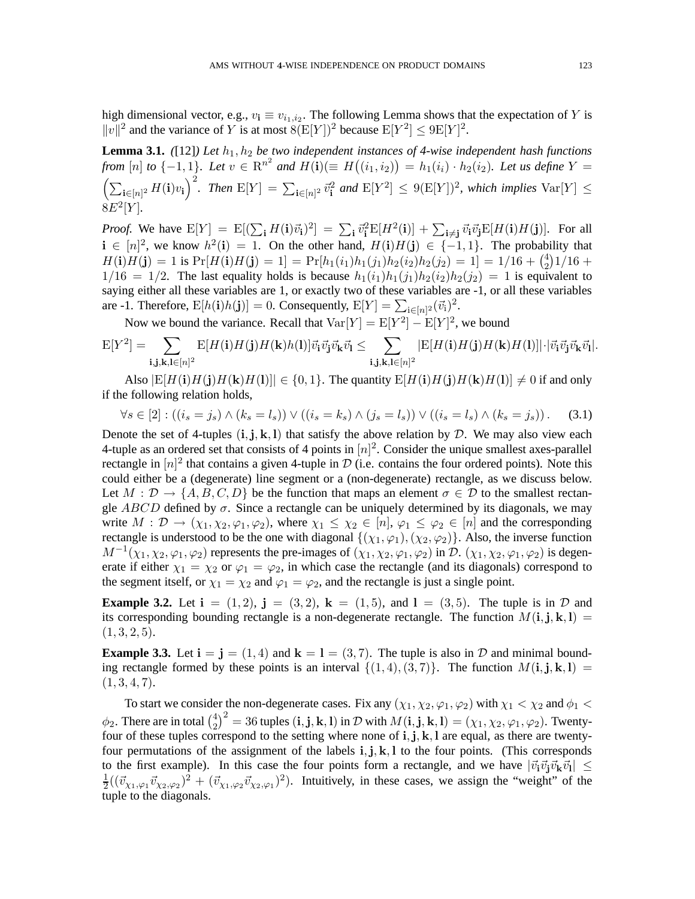high dimensional vector, e.g.,  $v_i \equiv v_{i_1,i_2}$ . The following Lemma shows that the expectation of Y is  $||v||^2$  and the variance of Y is at most  $8(E[Y])^2$  because  $E[Y^2] \leq 9E[Y]^2$ .

**Lemma 3.1.** *([12]) Let*  $h_1, h_2$  *be two independent instances of 4-wise independent hash functions from*  $[n]$  to  $\{-1,1\}$ *. Let*  $v \in \mathbb{R}^{n^2}$  and  $H(i) (\equiv H((i_1, i_2)) = h_1(i_1) \cdot h_2(i_2)$ *. Let us define*  $Y =$  $\left(\sum_{\mathbf{i}\in[n]^2} H(\mathbf{i})v_{\mathbf{i}}\right)^2$ . Then  $\mathbb{E}[Y] = \sum_{\mathbf{i}\in[n]^2} \vec{v}_{\mathbf{i}}^2$  and  $\mathbb{E}[Y^2] \leq 9(\mathbb{E}[Y])^2$ , which implies  $\text{Var}[Y] \leq$  $8E^{2}[Y]$ .

*Proof.* We have  $E[Y] = E[(\sum_{\mathbf{i}} H(\mathbf{i}) \vec{v}_{\mathbf{i}})^2] = \sum_{\mathbf{i}} \vec{v}_{\mathbf{i}}^2 E[H^2(\mathbf{i})] + \sum_{\mathbf{i} \neq \mathbf{j}} \vec{v}_{\mathbf{i}} \vec{v}_{\mathbf{j}} E[H(\mathbf{i})H(\mathbf{j})].$  For all  $i \in [n]^2$ , we know  $h^2(i) = 1$ . On the other hand,  $H(i)H(j) \in \{-1,1\}$ . The probability that  $H(\mathbf{i})H(\mathbf{j}) = 1$  is  $\Pr[H(\mathbf{i})H(\mathbf{j}) = 1] = \Pr[h_1(i_1)h_1(j_1)h_2(i_2)h_2(j_2) = 1] = 1/16 + {4 \choose 2}$  $_{2}^{4})1/16 +$  $1/16 = 1/2$ . The last equality holds is because  $h_1(i_1)h_1(j_1)h_2(i_2)h_2(j_2) = 1$  is equivalent to saying either all these variables are 1, or exactly two of these variables are -1, or all these variables are -1. Therefore,  $E[h(i)h(j)] = 0$ . Consequently,  $E[Y] = \sum_{i \in [n]^2} (\vec{v}_i)^2$ .

Now we bound the variance. Recall that  $Var[Y] = E[Y^2] - E[Y]^2$ , we bound

$$
\mathrm{E}[Y^2] = \sum_{\mathbf{i},\mathbf{j},\mathbf{k},\mathbf{l}\in [n]^2} \mathrm{E}[H(\mathbf{i})H(\mathbf{j})H(\mathbf{k})h(\mathbf{l})] \vec{v}_{\mathbf{i}}\vec{v}_{\mathbf{j}}\vec{v}_{\mathbf{k}}\vec{v}_{\mathbf{l}} \leq \sum_{\mathbf{i},\mathbf{j},\mathbf{k},\mathbf{l}\in [n]^2} |\mathrm{E}[H(\mathbf{i})H(\mathbf{j})H(\mathbf{k})H(\mathbf{l})]| \cdot |\vec{v}_{\mathbf{i}}\vec{v}_{\mathbf{j}}\vec{v}_{\mathbf{k}}\vec{v}_{\mathbf{l}}|.
$$

Also  $|E[H(i)H(j)H(k)H(l)]| \in \{0,1\}$ . The quantity  $E[H(i)H(j)H(k)H(l)] \neq 0$  if and only if the following relation holds,

$$
\forall s \in [2] : ((i_s = j_s) \land (k_s = l_s)) \lor ((i_s = k_s) \land (j_s = l_s)) \lor ((i_s = l_s) \land (k_s = j_s)). \tag{3.1}
$$

Denote the set of 4-tuples  $(i, j, k, l)$  that satisfy the above relation by D. We may also view each 4-tuple as an ordered set that consists of 4 points in  $[n]^2$ . Consider the unique smallest axes-parallel rectangle in  $[n]^2$  that contains a given 4-tuple in  $\mathcal{D}$  (i.e. contains the four ordered points). Note this could either be a (degenerate) line segment or a (non-degenerate) rectangle, as we discuss below. Let  $M : \mathcal{D} \to \{A, B, C, D\}$  be the function that maps an element  $\sigma \in \mathcal{D}$  to the smallest rectangle ABCD defined by  $\sigma$ . Since a rectangle can be uniquely determined by its diagonals, we may write  $M: \mathcal{D} \to (\chi_1, \chi_2, \varphi_1, \varphi_2)$ , where  $\chi_1 \leq \chi_2 \in [n], \varphi_1 \leq \varphi_2 \in [n]$  and the corresponding rectangle is understood to be the one with diagonal  $\{(\chi_1, \varphi_1),(\chi_2, \varphi_2)\}\.$  Also, the inverse function  $M^{-1}(\chi_1, \chi_2, \varphi_1, \varphi_2)$  represents the pre-images of  $(\chi_1, \chi_2, \varphi_1, \varphi_2)$  in  $\mathcal{D}$ .  $(\chi_1, \chi_2, \varphi_1, \varphi_2)$  is degenerate if either  $\chi_1 = \chi_2$  or  $\varphi_1 = \varphi_2$ , in which case the rectangle (and its diagonals) correspond to the segment itself, or  $\chi_1 = \chi_2$  and  $\varphi_1 = \varphi_2$ , and the rectangle is just a single point.

**Example 3.2.** Let  $i = (1, 2)$ ,  $j = (3, 2)$ ,  $k = (1, 5)$ , and  $l = (3, 5)$ . The tuple is in  $D$  and its corresponding bounding rectangle is a non-degenerate rectangle. The function  $M(i, j, k, l)$  =  $(1, 3, 2, 5).$ 

**Example 3.3.** Let  $i = j = (1, 4)$  and  $k = 1 = (3, 7)$ . The tuple is also in D and minimal bounding rectangle formed by these points is an interval  $\{(1, 4), (3, 7)\}$ . The function  $M(i, j, k, l)$  =  $(1, 3, 4, 7).$ 

To start we consider the non-degenerate cases. Fix any  $(\chi_1, \chi_2, \varphi_1, \varphi_2)$  with  $\chi_1 < \chi_2$  and  $\phi_1 <$  $\phi_2$ . There are in total  $\binom{4}{2}$  $\binom{4}{2}^2 = 36$  tuples  $(i, j, k, l)$  in D with  $M(i, j, k, l) = (\chi_1, \chi_2, \varphi_1, \varphi_2)$ . Twentyfour of these tuples correspond to the setting where none of i, j, k, l are equal, as there are twentyfour permutations of the assignment of the labels  $\mathbf{i}, \mathbf{j}, \mathbf{k}, \mathbf{l}$  to the four points. (This corresponds to the first example). In this case the four points form a rectangle, and we have  $|\vec{v}_i\vec{v}_j\vec{v}_k\vec{v}_l|\leq$ 1  $\frac{1}{2}((\vec{v}_{\chi_1,\varphi_1}\vec{v}_{\chi_2,\varphi_2})^2 + (\vec{v}_{\chi_1,\varphi_2}\vec{v}_{\chi_2,\varphi_1})^2)$ . Intuitively, in these cases, we assign the "weight" of the tuple to the diagonals.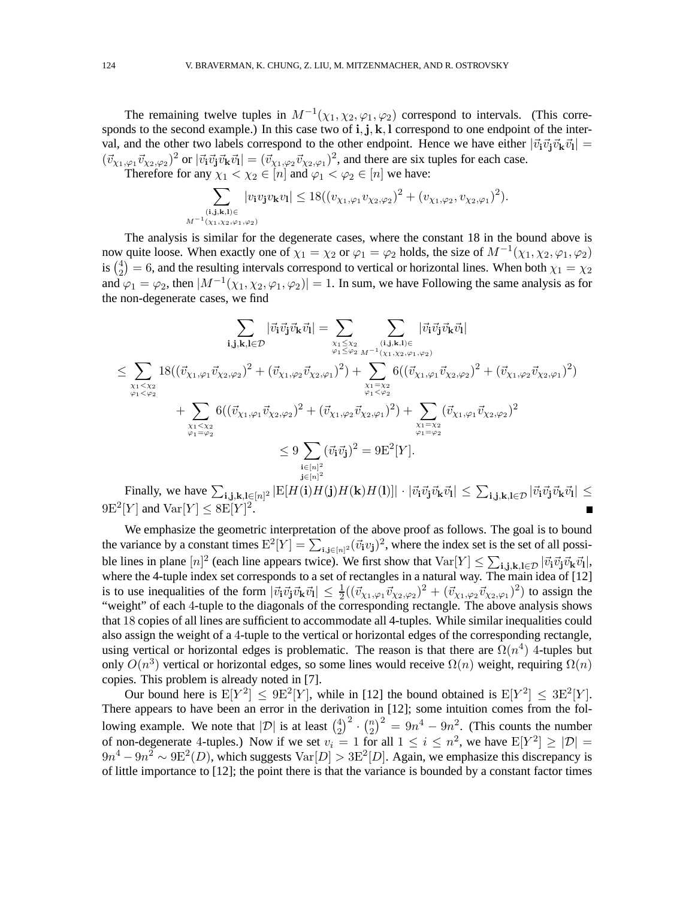The remaining twelve tuples in  $M^{-1}(\chi_1, \chi_2, \varphi_1, \varphi_2)$  correspond to intervals. (This corresponds to the second example.) In this case two of  $\mathbf{i}, \mathbf{j}, \mathbf{k}, \mathbf{l}$  correspond to one endpoint of the interval, and the other two labels correspond to the other endpoint. Hence we have either  $|\vec{v}_i \vec{v}_j \vec{v}_k \vec{v}_l|$  =  $(\vec{v}_{\chi_1,\varphi_1}\vec{v}_{\chi_2,\varphi_2})^2$  or  $|\vec{v}_i\vec{v}_j\vec{v}_k\vec{v}_l| = (\vec{v}_{\chi_1,\varphi_2}\vec{v}_{\chi_2,\varphi_1})^2$ , and there are six tuples for each case.

Therefore for any  $\chi_1 < \chi_2 \in [n]$  and  $\varphi_1 < \varphi_2 \in [n]$  we have:

$$
\sum_{\substack{(\mathbf{i}, \mathbf{j}, \mathbf{k}, \mathbf{l}) \in \\M^{-1}(\chi_1, \chi_2, \varphi_1, \varphi_2)}} |v_{\mathbf{i}} v_{\mathbf{j}} v_{\mathbf{k}} v_{\mathbf{l}}| \leq 18((v_{\chi_1, \varphi_1} v_{\chi_2, \varphi_2})^2 + (v_{\chi_1, \varphi_2}, v_{\chi_2, \varphi_1})^2).
$$

The analysis is similar for the degenerate cases, where the constant 18 in the bound above is now quite loose. When exactly one of  $\chi_1 = \chi_2$  or  $\varphi_1 = \varphi_2$  holds, the size of  $M^{-1}(\chi_1, \chi_2, \varphi_1, \varphi_2)$ is  $\binom{4}{2}$  $\chi_2^{(4)} = 6$ , and the resulting intervals correspond to vertical or horizontal lines. When both  $\chi_1 = \chi_2$ and  $\varphi_1 = \varphi_2$ , then  $|M^{-1}(\chi_1, \chi_2, \varphi_1, \varphi_2)| = 1$ . In sum, we have Following the same analysis as for the non-degenerate cases, we find

$$
\sum_{\substack{\mathbf{i}, \mathbf{j}, \mathbf{k}, \mathbf{l} \in \mathcal{D} \\ \varphi_1 < \varphi_2}} \left| \vec{v}_i \vec{v}_j \vec{v}_k \vec{v}_l \right| = \sum_{\substack{\chi_1 \leq \chi_2 \\ \varphi_1 \leq \varphi_2}} \sum_{\substack{\mathbf{i}, \mathbf{j}, \mathbf{k}, \mathbf{l} \in \mathcal{D} \\ \varphi_1 \leq \varphi_2}} \left| \vec{v}_i \vec{v}_j \vec{v}_k \vec{v}_l \right|
$$
\n
$$
\leq \sum_{\substack{\chi_1 < \chi_2 \\ \varphi_1 < \varphi_2}} 18 \left( (\vec{v}_{\chi_1, \varphi_1} \vec{v}_{\chi_2, \varphi_2})^2 + (\vec{v}_{\chi_1, \varphi_2} \vec{v}_{\chi_2, \varphi_1})^2 \right) + \sum_{\substack{\chi_1 = \chi_2 \\ \varphi_1 < \varphi_2}} 6 \left( (\vec{v}_{\chi_1, \varphi_1} \vec{v}_{\chi_2, \varphi_2})^2 + (\vec{v}_{\chi_1, \varphi_2} \vec{v}_{\chi_2, \varphi_1})^2 \right) + \sum_{\substack{\chi_1 = \chi_2 \\ \varphi_1 = \varphi_2 \\ \varphi_1 = \varphi_2}} (\vec{v}_\chi_1 \vec{v}_\chi) \vec{v}_{\chi_2, \varphi_2} \right)^2
$$
\n
$$
\leq 9 \sum_{\substack{\mathbf{i} \in [n]^2 \\ \mathbf{i} \in [n]^2}} (\vec{v}_\chi \vec{v}_\chi)^2 = 9 \mathbf{E}^2[\mathbf{Y}].
$$

Finally, we have  $\sum_{\mathbf{i},\mathbf{j},\mathbf{k},\mathbf{l}\in[n]^2} |\mathrm{E}[H(\mathbf{i})H(\mathbf{j})H(\mathbf{k})H(\mathbf{l})]| \cdot |\vec{v}_{\mathbf{i}}\vec{v}_{\mathbf{j}}\vec{v}_{\mathbf{k}}\vec{v}_{\mathbf{l}}| \leq \sum_{\mathbf{i},\mathbf{j},\mathbf{k},\mathbf{l}\in\mathcal{D}} |\vec{v}_{\mathbf{i}}\vec{v}_{\mathbf{j}}\vec{v}_{\mathbf{k}}\vec{v}_{\mathbf{l}}| \leq$  $9E^2[Y]$  and  $\text{Var}[Y] \leq 8E[Y]^2$ .

We emphasize the geometric interpretation of the above proof as follows. The goal is to bound the variance by a constant times  $E^2[Y] = \sum_{i,j \in [n]^2} (\vec{v}_i v_j)^2$ , where the index set is the set of all possible lines in plane  $[n]^2$  (each line appears twice). We first show that  $Var[Y] \leq \sum_{i,j,k,l \in \mathcal{D}} |\vec{v}_i \vec{v}_j \vec{v}_k \vec{v}_l|$ , where the 4-tuple index set corresponds to a set of rectangles in a natural way. The main idea of  $[12]$ is to use inequalities of the form  $|\vec{v}_i\vec{v}_j\vec{v}_k\vec{v}_l| \leq \frac{1}{2}((\vec{v}_{\chi_1,\varphi_1}\vec{v}_{\chi_2,\varphi_2})^2 + (\vec{v}_{\chi_1,\varphi_2}\vec{v}_{\chi_2,\varphi_1})^2)$  to assign the "weight" of each 4-tuple to the diagonals of the corresponding rectangle. The above analysis shows that 18 copies of all lines are sufficient to accommodate all 4-tuples. While similar inequalities could also assign the weight of a 4-tuple to the vertical or horizontal edges of the corresponding rectangle, using vertical or horizontal edges is problematic. The reason is that there are  $\Omega(n^4)$  4-tuples but only  $O(n^3)$  vertical or horizontal edges, so some lines would receive  $\Omega(n)$  weight, requiring  $\Omega(n)$ copies. This problem is already noted in [7].

Our bound here is  $E[Y^2] \leq 9E^2[Y]$ , while in [12] the bound obtained is  $E[Y^2] \leq 3E^2[Y]$ . There appears to have been an error in the derivation in [12]; some intuition comes from the following example. We note that  $|\mathcal{D}|$  is at least  $\binom{4}{2}^2 \cdot \binom{n}{2}^2 = 9n^4 - 9n^2$ . (This counts the number bowing example. We note that  $|D|$  is at least  $\binom{2}{2}$   $\binom{2}{2}$  =  $3n - 3n$ . (This counts the number of non-degenerate 4-tuples.) Now if we set  $v_i = 1$  for all  $1 \le i \le n^2$ , we have  $E[Y^2] \ge |D|$  =  $9n^4 - 9n^2 \sim 9E^2(D)$ , which suggests  $Var[D] > 3E^2[D]$ . Again, we emphasize this discrepancy is of little importance to [12]; the point there is that the variance is bounded by a constant factor times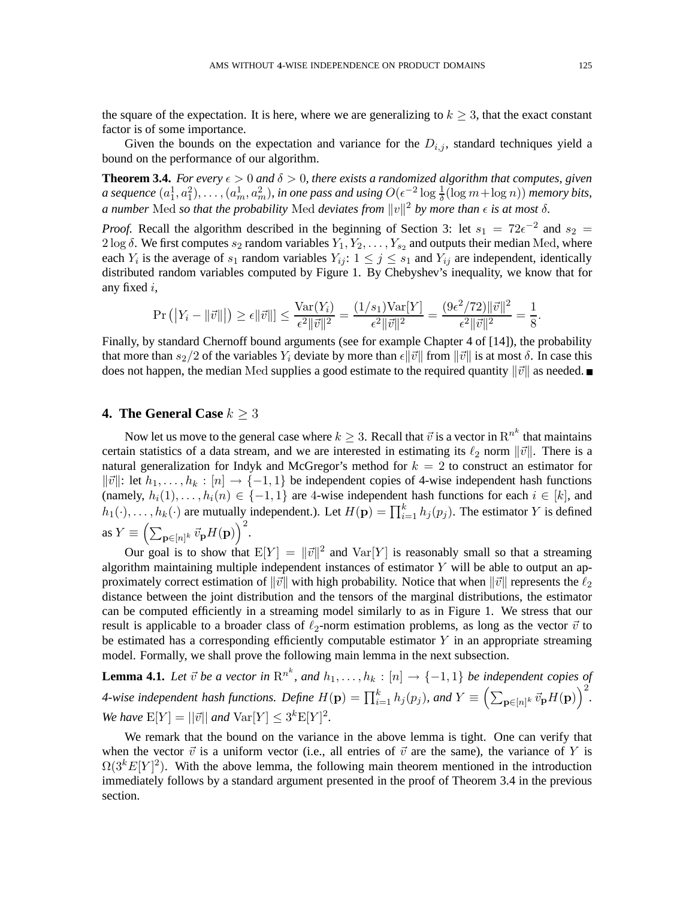the square of the expectation. It is here, where we are generalizing to  $k \geq 3$ , that the exact constant factor is of some importance.

Given the bounds on the expectation and variance for the  $D_{i,j}$ , standard techniques yield a bound on the performance of our algorithm.

**Theorem 3.4.** *For every*  $\epsilon > 0$  *and*  $\delta > 0$ *, there exists a randomized algorithm that computes, given a* sequence  $(a_1^1, a_1^2), \ldots, (a_m^1, a_m^2)$ , in one pass and using  $O(\epsilon^{-2} \log \frac{1}{\delta}(\log m + \log n))$  memory bits, *a number* Med *so that the probability* Med *deviates from*  $||v||^2$  *by more than*  $\epsilon$  *is at most*  $\delta$ *.* 

*Proof.* Recall the algorithm described in the beginning of Section 3: let  $s_1 = 72e^{-2}$  and  $s_2 =$ 2 log  $\delta$ . We first computes  $s_2$  random variables  $Y_1, Y_2, \ldots, Y_{s_2}$  and outputs their median Med, where each  $Y_i$  is the average of  $s_1$  random variables  $Y_{ij}$ :  $1 \leq j \leq s_1$  and  $Y_{ij}$  are independent, identically distributed random variables computed by Figure 1. By Chebyshev's inequality, we know that for any fixed i,

$$
\Pr(|Y_i - ||\vec{v}||) \ge \epsilon ||\vec{v}|| \le \frac{\text{Var}(Y_i)}{\epsilon^2 ||\vec{v}||^2} = \frac{(1/s_1)\text{Var}[Y]}{\epsilon^2 ||\vec{v}||^2} = \frac{(9\epsilon^2/72)||\vec{v}||^2}{\epsilon^2 ||\vec{v}||^2} = \frac{1}{8}.
$$

Finally, by standard Chernoff bound arguments (see for example Chapter 4 of [14]), the probability that more than  $s_2/2$  of the variables  $Y_i$  deviate by more than  $\epsilon ||\vec{v}||$  from  $||\vec{v}||$  is at most  $\delta$ . In case this does not happen, the median Med supplies a good estimate to the required quantity  $\|\vec{v}\|$  as needed.

# **4. The General Case**  $k \geq 3$

Now let us move to the general case where  $k \geq 3$ . Recall that  $\vec{v}$  is a vector in  $\text{R}^{n^k}$  that maintains certain statistics of a data stream, and we are interested in estimating its  $\ell_2$  norm  $\|\vec{v}\|$ . There is a natural generalization for Indyk and McGregor's method for  $k = 2$  to construct an estimator for  $\|\vec{v}\|$ : let  $h_1, \ldots, h_k : [n]$  → {−1, 1} be independent copies of 4-wise independent hash functions (namely,  $h_i(1), \ldots, h_i(n) \in \{-1, 1\}$  are 4-wise independent hash functions for each  $i \in [k]$ , and  $h_1(\cdot), \ldots, h_k(\cdot)$  are mutually independent.). Let  $H(\mathbf{p}) = \prod_{i=1}^k h_j(p_j)$ . The estimator Y is defined as  $Y \equiv \left(\sum_{\mathbf{p} \in [n]^k} \vec{v}_{\mathbf{p}} H(\mathbf{p})\right)^2$ .

Our goal is to show that  $E[Y] = ||\vec{v}||^2$  and  $Var[Y]$  is reasonably small so that a streaming algorithm maintaining multiple independent instances of estimator  $Y$  will be able to output an approximately correct estimation of  $\|\vec{v}\|$  with high probability. Notice that when  $\|\vec{v}\|$  represents the  $\ell_2$ distance between the joint distribution and the tensors of the marginal distributions, the estimator can be computed efficiently in a streaming model similarly to as in Figure 1. We stress that our result is applicable to a broader class of  $\ell_2$ -norm estimation problems, as long as the vector  $\vec{v}$  to be estimated has a corresponding efficiently computable estimator  $Y$  in an appropriate streaming model. Formally, we shall prove the following main lemma in the next subsection.

**Lemma 4.1.** Let  $\vec{v}$  be a vector in  $\text{R}^{n^k}$ , and  $h_1, \ldots, h_k : [n] \to \{-1, 1\}$  be independent copies of *4-wise independent hash functions. Define*  $H(\mathbf{p}) = \prod_{i=1}^{k} h_j(p_j)$ , and  $Y \equiv \left( \sum_{\mathbf{p} \in [n]^k} \vec{v}_{\mathbf{p}} H(\mathbf{p}) \right)^2$ . *We have*  $E[Y] = ||\vec{v}||$  *and*  $Var[Y] \leq 3^k E[Y]^2$ *.* 

We remark that the bound on the variance in the above lemma is tight. One can verify that when the vector  $\vec{v}$  is a uniform vector (i.e., all entries of  $\vec{v}$  are the same), the variance of Y is  $\Omega(3^k E[Y]^2)$ . With the above lemma, the following main theorem mentioned in the introduction immediately follows by a standard argument presented in the proof of Theorem 3.4 in the previous section.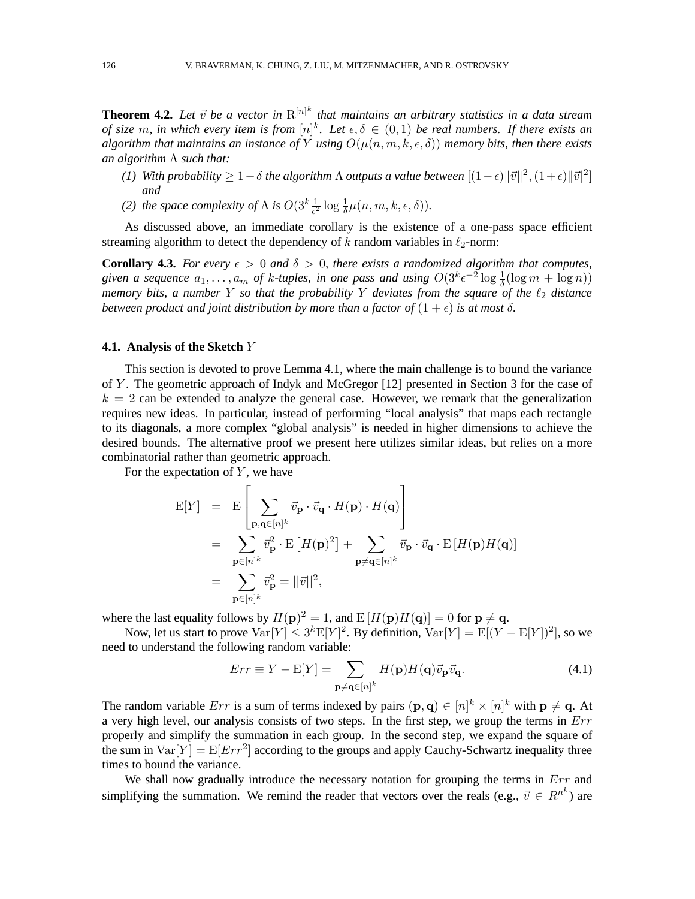**Theorem 4.2.** Let  $\vec{v}$  be a vector in  $R^{[n]^{k}}$  that maintains an arbitrary statistics in a data stream *of size* m, in which every item is from  $[n]^k$ . Let  $\epsilon, \delta \in (0,1)$  be real numbers. If there exists an *algorithm that maintains an instance of* Y *using*  $O(\mu(n, m, k, \epsilon, \delta))$  *memory bits, then there exists an algorithm* Λ *such that:*

- *(1)* With probability  $\geq 1 \delta$  the algorithm  $\Lambda$  outputs a value between  $[(1 \epsilon) ||\vec{v}||^2, (1 + \epsilon) ||\vec{v}|^2]$ *and*
- *(2) the space complexity of*  $\Lambda$  *is*  $O(3^k \frac{1}{\epsilon^2} \log \frac{1}{\delta} \mu(n, m, k, \epsilon, \delta)).$

As discussed above, an immediate corollary is the existence of a one-pass space efficient streaming algorithm to detect the dependency of k random variables in  $\ell_2$ -norm:

**Corollary 4.3.** *For every*  $\epsilon > 0$  *and*  $\delta > 0$ *, there exists a randomized algorithm that computes,* given a sequence  $a_1, \ldots, a_m$  of k-tuples, in one pass and using  $O(3^k \epsilon^{-2} \log \frac{1}{\delta} (\log m + \log n))$ *memory bits, a number* Y *so that the probability* Y *deviates from the square of the*  $\ell_2$  *distance between product and joint distribution by more than a factor of*  $(1 + \epsilon)$  *is at most*  $\delta$ *.* 

### **4.1. Analysis of the Sketch** Y

This section is devoted to prove Lemma 4.1, where the main challenge is to bound the variance of Y . The geometric approach of Indyk and McGregor [12] presented in Section 3 for the case of  $k = 2$  can be extended to analyze the general case. However, we remark that the generalization requires new ideas. In particular, instead of performing "local analysis" that maps each rectangle to its diagonals, a more complex "global analysis" is needed in higher dimensions to achieve the desired bounds. The alternative proof we present here utilizes similar ideas, but relies on a more combinatorial rather than geometric approach.

For the expectation of  $Y$ , we have

$$
E[Y] = E\left[\sum_{\mathbf{p},\mathbf{q}\in[n]^k} \vec{v}_{\mathbf{p}} \cdot \vec{v}_{\mathbf{q}} \cdot H(\mathbf{p}) \cdot H(\mathbf{q})\right]
$$
  
\n
$$
= \sum_{\mathbf{p}\in[n]^k} \vec{v}_{\mathbf{p}}^2 \cdot E\left[H(\mathbf{p})^2\right] + \sum_{\mathbf{p}\neq\mathbf{q}\in[n]^k} \vec{v}_{\mathbf{p}} \cdot \vec{v}_{\mathbf{q}} \cdot E\left[H(\mathbf{p})H(\mathbf{q})\right]
$$
  
\n
$$
= \sum_{\mathbf{p}\in[n]^k} \vec{v}_{\mathbf{p}}^2 = ||\vec{v}||^2,
$$

where the last equality follows by  $H(\mathbf{p})^2 = 1$ , and  $E[H(\mathbf{p})H(\mathbf{q})] = 0$  for  $\mathbf{p} \neq \mathbf{q}$ .

Now, let us start to prove  $\text{Var}[Y] \leq 3^k \text{E}[Y]^2$ . By definition,  $\text{Var}[Y] = \text{E}[(Y - \text{E}[Y])^2]$ , so we need to understand the following random variable:

$$
Err \equiv Y - \mathcal{E}[Y] = \sum_{\mathbf{p} \neq \mathbf{q} \in [n]^k} H(\mathbf{p}) H(\mathbf{q}) \vec{v}_{\mathbf{p}} \vec{v}_{\mathbf{q}}.
$$
(4.1)

The random variable  $Err$  is a sum of terms indexed by pairs  $(\mathbf{p}, \mathbf{q}) \in [n]^k \times [n]^k$  with  $\mathbf{p} \neq \mathbf{q}$ . At a very high level, our analysis consists of two steps. In the first step, we group the terms in  $Err$ properly and simplify the summation in each group. In the second step, we expand the square of the sum in  $Var[Y] = E[Err^2]$  according to the groups and apply Cauchy-Schwartz inequality three times to bound the variance.

We shall now gradually introduce the necessary notation for grouping the terms in  $Err$  and simplifying the summation. We remind the reader that vectors over the reals (e.g.,  $\vec{v} \in R^{n^k}$ ) are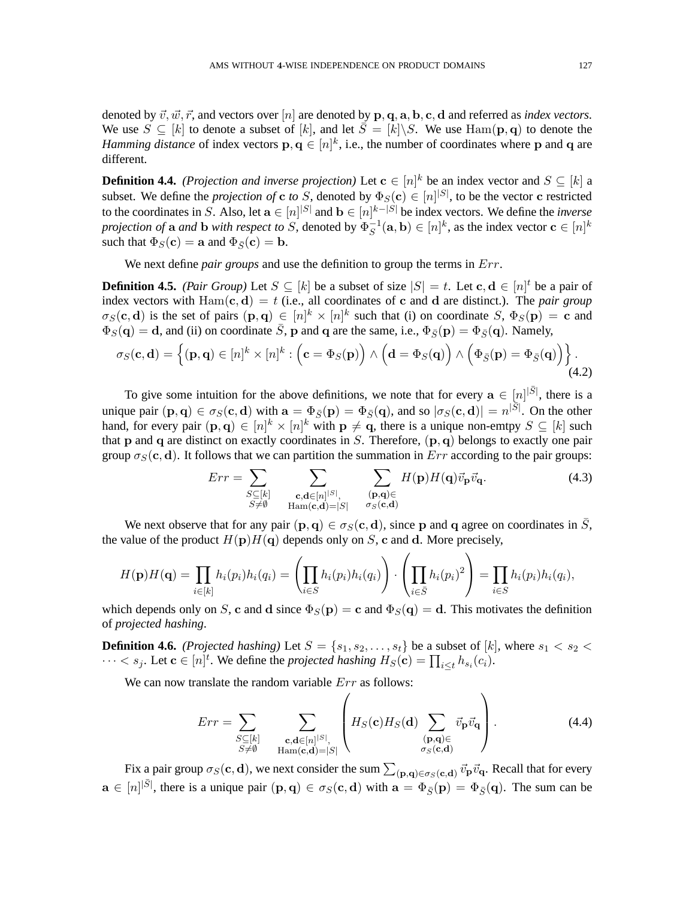denoted by  $\vec{v}, \vec{w}, \vec{r}$ , and vectors over  $[n]$  are denoted by p, q, a, b, c, d and referred as *index vectors*. We use  $S \subseteq [k]$  to denote a subset of  $[k]$ , and let  $\overline{S} = [k] \backslash S$ . We use  $\text{Ham}(\mathbf{p}, \mathbf{q})$  to denote the *Hamming distance* of index vectors  $\mathbf{p}, \mathbf{q} \in [n]^k$ , i.e., the number of coordinates where p and q are different.

**Definition 4.4.** *(Projection and inverse projection)* Let  $\mathbf{c} \in [n]^k$  be an index vector and  $S \subseteq [k]$  a subset. We define the *projection of* **c** *to* S, denoted by  $\Phi_S(\mathbf{c}) \in [n]^{|S|}$ , to be the vector **c** restricted to the coordinates in S. Also, let  $\mathbf{a} \in [n]^{|S|}$  and  $\mathbf{b} \in [n]^{|k-|S|}$  be index vectors. We define the *inverse projection of* **a** *and* **b** *with respect to* S, denoted by  $\Phi_S^{-1}(\mathbf{a}, \mathbf{b}) \in [n]^k$ , as the index vector  $\mathbf{c} \in [n]^k$ such that  $\Phi_S(\mathbf{c}) = \mathbf{a}$  and  $\Phi_{\overline{S}}(\mathbf{c}) = \mathbf{b}$ .

We next define *pair groups* and use the definition to group the terms in Err.

**Definition 4.5.** *(Pair Group)* Let  $S \subseteq [k]$  be a subset of size  $|S| = t$ . Let  $c, d \in [n]^t$  be a pair of index vectors with  $Ham(c, d) = t$  (i.e., all coordinates of c and d are distinct.). The *pair group*  $\sigma_S(c, d)$  is the set of pairs  $(p, q) \in [n]^k \times [n]^k$  such that (i) on coordinate  $S$ ,  $\Phi_S(p) = c$  and  $\overline{\Phi}_S(\mathbf{q}) = \mathbf{d}$ , and (ii) on coordinate  $\overline{S}$ , **p** and **q** are the same, i.e.,  $\Phi_{\overline{S}}(\mathbf{p}) = \Phi_{\overline{S}}(\mathbf{q})$ . Namely,

$$
\sigma_S(\mathbf{c}, \mathbf{d}) = \left\{ (\mathbf{p}, \mathbf{q}) \in [n]^k \times [n]^k : \left( \mathbf{c} = \Phi_S(\mathbf{p}) \right) \wedge \left( \mathbf{d} = \Phi_S(\mathbf{q}) \right) \wedge \left( \Phi_{\bar{S}}(\mathbf{p}) = \Phi_{\bar{S}}(\mathbf{q}) \right) \right\}.
$$
\n(4.2)

To give some intuition for the above definitions, we note that for every  $a \in [n]^{|\bar{S}|}$ , there is a unique pair  $(\mathbf{p}, \mathbf{q}) \in \sigma_S(\mathbf{c}, \mathbf{d})$  with  $\mathbf{a} = \Phi_{\bar{S}}(\mathbf{p}) = \Phi_{\bar{S}}(\mathbf{q})$ , and so  $|\sigma_S(\mathbf{c}, \mathbf{d})| = n^{|\bar{S}|}$ . On the other hand, for every pair  $(\mathbf{p}, \mathbf{q}) \in [n]^k \times [n]^k$  with  $\mathbf{p} \neq \mathbf{q}$ , there is a unique non-emtpy  $S \subseteq [k]$  such that p and q are distinct on exactly coordinates in S. Therefore,  $(p, q)$  belongs to exactly one pair group  $\sigma_S(c, d)$ . It follows that we can partition the summation in  $Err$  according to the pair groups:

$$
Err = \sum_{\substack{S \subseteq [k] \\ S \neq \emptyset}} \sum_{\substack{\mathbf{c}, \mathbf{d} \in [n]^{|S|}, \\ \operatorname{Ham}(\mathbf{c}, \mathbf{d}) = |S|}} \sum_{\substack{(\mathbf{p}, \mathbf{q}) \in \\ \sigma_S(\mathbf{c}, \mathbf{d})}} H(\mathbf{p}) H(\mathbf{q}) \vec{v}_{\mathbf{p}} \vec{v}_{\mathbf{q}}.
$$
(4.3)

We next observe that for any pair  $(p, q) \in \sigma_S(c, d)$ , since p and q agree on coordinates in  $\overline{S}$ , the value of the product  $H(p)H(q)$  depends only on S, c and d. More precisely,

$$
H(\mathbf{p})H(\mathbf{q}) = \prod_{i \in [k]} h_i(p_i)h_i(q_i) = \left(\prod_{i \in S} h_i(p_i)h_i(q_i)\right) \cdot \left(\prod_{i \in \bar{S}} h_i(p_i)^2\right) = \prod_{i \in S} h_i(p_i)h_i(q_i),
$$

which depends only on S, c and d since  $\Phi_S(\mathbf{p}) = \mathbf{c}$  and  $\Phi_S(\mathbf{q}) = \mathbf{d}$ . This motivates the definition of *projected hashing*.

**Definition 4.6.** *(Projected hashing)* Let  $S = \{s_1, s_2, \ldots, s_t\}$  be a subset of [k], where  $s_1 < s_2$  <  $\cdots < s_j$ . Let  $\mathbf{c} \in [n]^t$ . We define the *projected hashing*  $H_S(\mathbf{c}) = \prod_{i \leq t} h_{s_i}(c_i)$ .

We can now translate the random variable  $Err$  as follows:

$$
Err = \sum_{\substack{S \subseteq [k] \\ S \neq \emptyset}} \sum_{\substack{\mathbf{c}, \mathbf{d} \in [n]^{[S]}, \\ \text{Ham}(\mathbf{c}, \mathbf{d}) = |S|}} \left( H_S(\mathbf{c}) H_S(\mathbf{d}) \sum_{\substack{(\mathbf{p}, \mathbf{q}) \in \\ \sigma_S(\mathbf{c}, \mathbf{d})}} \vec{v}_{\mathbf{p}} \vec{v}_{\mathbf{q}} \right). \tag{4.4}
$$

Fix a pair group  $\sigma_S(\mathbf{c},\mathbf{d})$ , we next consider the sum  $\sum_{(\mathbf{p},\mathbf{q})\in\sigma_S(\mathbf{c},\mathbf{d})}\vec{v}_{\mathbf{p}}\vec{v}_{\mathbf{q}}$ . Recall that for every  $\mathbf{a} \in [n]^{|\bar{S}|}$ , there is a unique pair  $(\mathbf{p}, \mathbf{q}) \in \sigma_S(\mathbf{c}, \mathbf{d})$  with  $\mathbf{a} = \Phi_{\bar{S}}(\mathbf{p}) = \Phi_{\bar{S}}(\mathbf{q})$ . The sum can be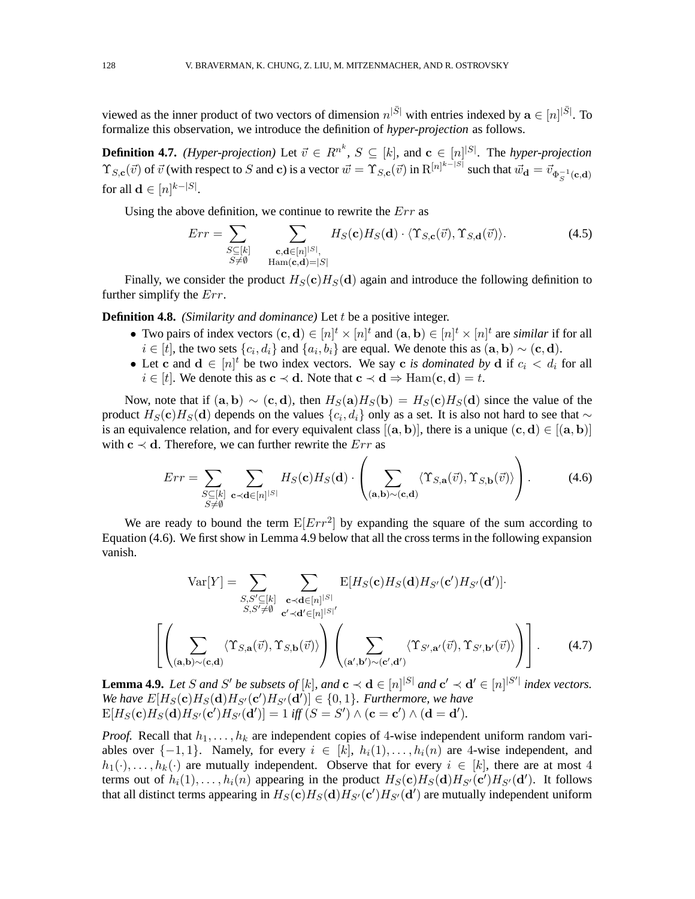viewed as the inner product of two vectors of dimension  $n^{|\bar{S}|}$  with entries indexed by  $\mathbf{a} \in [n]^{|\bar{S}|}$ . To formalize this observation, we introduce the definition of *hyper-projection* as follows.

**Definition 4.7.** *(Hyper-projection)* Let  $\vec{v} \in R^{n^k}$ ,  $S \subseteq [k]$ , and  $\mathbf{c} \in [n]^{|S|}$ . The *hyper-projection*  $\Upsilon_{S,\mathbf{c}}(\vec{v})$  of  $\vec{v}$  (with respect to S and c) is a vector  $\vec{w} = \Upsilon_{S,\mathbf{c}}(\vec{v})$  in  $\mathbb{R}^{[n]^{k-|S|}}$  such that  $\vec{w}_{\mathbf{d}} = \vec{v}_{\Phi_S^{-1}(\mathbf{c},\mathbf{d})}$ for all  $\mathbf{d} \in [n]^{k-|S|}$ .

Using the above definition, we continue to rewrite the  $Err$  as

$$
Err = \sum_{\substack{S \subseteq [k] \\ S \neq \emptyset}} \sum_{\substack{\mathbf{c}, \mathbf{d} \in [n]^{[S]}, \\ \text{Ham}(\mathbf{c}, \mathbf{d}) = |S|}} H_S(\mathbf{c}) H_S(\mathbf{d}) \cdot \langle \Upsilon_{S, \mathbf{c}}(\vec{v}), \Upsilon_{S, \mathbf{d}}(\vec{v}) \rangle. \tag{4.5}
$$

Finally, we consider the product  $H_S(c)H_S(d)$  again and introduce the following definition to further simplify the Err.

**Definition 4.8.** *(Similarity and dominance)* Let t be a positive integer.

- Two pairs of index vectors  $(c, d) \in [n]^t \times [n]^t$  and  $(a, b) \in [n]^t \times [n]^t$  are *similar* if for all  $i \in [t]$ , the two sets  $\{c_i, d_i\}$  and  $\{a_i, b_i\}$  are equal. We denote this as  $(\mathbf{a}, \mathbf{b}) \sim (\mathbf{c}, \mathbf{d})$ .
- Let c and  $\mathbf{d} \in [n]^t$  be two index vectors. We say c *is dominated by*  $\mathbf{d}$  if  $c_i < d_i$  for all  $i \in [t]$ . We denote this as  $c \prec d$ . Note that  $c \prec d \Rightarrow \text{Ham}(c, d) = t$ .

Now, note that if  $(a, b) \sim (c, d)$ , then  $H_S(a)H_S(b) = H_S(c)H_S(d)$  since the value of the product  $H_S(\mathbf{c})H_S(\mathbf{d})$  depends on the values  $\{c_i,d_i\}$  only as a set. It is also not hard to see that  $\sim$ is an equivalence relation, and for every equivalent class  $[(a, b)]$ , there is a unique  $(c, d) \in [(a, b)]$ with  $c \prec d$ . Therefore, we can further rewrite the  $Err$  as

$$
Err = \sum_{\substack{S \subseteq [k] \\ S \neq \emptyset}} \sum_{\mathbf{c} \prec \mathbf{d} \in [n]^{|S|}} H_S(\mathbf{c}) H_S(\mathbf{d}) \cdot \left( \sum_{(\mathbf{a}, \mathbf{b}) \sim (\mathbf{c}, \mathbf{d})} \langle \Upsilon_{S, \mathbf{a}}(\vec{v}), \Upsilon_{S, \mathbf{b}}(\vec{v}) \rangle \right). \tag{4.6}
$$

We are ready to bound the term  $E[Err^2]$  by expanding the square of the sum according to Equation (4.6). We first show in Lemma 4.9 below that all the cross terms in the following expansion vanish.

$$
\text{Var}[Y] = \sum_{\substack{S,S' \subseteq [k] \\ S,S' \neq \emptyset}} \sum_{\substack{\mathbf{c} \prec \mathbf{d} \in [n]^{|S|} \\ \mathbf{c}' \prec \mathbf{d}' \in [n]^{|S|}}} E[H_S(\mathbf{c}) H_S(\mathbf{d}) H_{S'}(\mathbf{c}') H_{S'}(\mathbf{d}')] \cdot \left( \sum_{\substack{S,S' \neq \emptyset \\ (\mathbf{a}, \mathbf{b}) \sim (\mathbf{c}, \mathbf{d})}} \langle \Upsilon_{S, \mathbf{a}}(\vec{v}), \Upsilon_{S, \mathbf{b}}(\vec{v}) \rangle \right) \left( \sum_{\substack{(\mathbf{a}', \mathbf{b}') \sim (\mathbf{c}', \mathbf{d}')}} \langle \Upsilon_{S', \mathbf{a}'}(\vec{v}), \Upsilon_{S', \mathbf{b}'}(\vec{v}) \rangle \right) \right).
$$
(4.7)

**Lemma 4.9.** Let S and S' be subsets of [k], and  $\mathbf{c} \prec \mathbf{d} \in [n]^{|S|}$  and  $\mathbf{c}' \prec \mathbf{d}' \in [n]^{|S'|}$  index vectors. We have  $E[H_S(\mathbf{c})H_S(\mathbf{d})H_{S'}(\mathbf{c'})H_{S'}(\mathbf{d'})]\in\{0,1\}$ . Furthermore, we have  $\mathbb{E}[H_S(\mathbf{c})H_S(\mathbf{d})H_{S'}(\mathbf{c'})H_{S'}(\mathbf{d'})] = 1$  *iff*  $(S = S') \wedge (\mathbf{c} = \mathbf{c'}) \wedge (\mathbf{d} = \mathbf{d'}).$ 

*Proof.* Recall that  $h_1, \ldots, h_k$  are independent copies of 4-wise independent uniform random variables over  $\{-1, 1\}$ . Namely, for every  $i \in [k]$ ,  $h_i(1), \ldots, h_i(n)$  are 4-wise independent, and  $h_1(\cdot), \ldots, h_k(\cdot)$  are mutually independent. Observe that for every  $i \in [k]$ , there are at most 4 terms out of  $h_i(1), \ldots, h_i(n)$  appearing in the product  $H_S(\mathbf{c})H_S(\mathbf{d})H_{S'}(\mathbf{c'})H_{S'}(\mathbf{d'})$ . It follows that all distinct terms appearing in  $H_S(\mathbf{c})H_S(\mathbf{d})H_{S'}(\mathbf{c}')H_{S'}(\mathbf{d}')$  are mutually independent uniform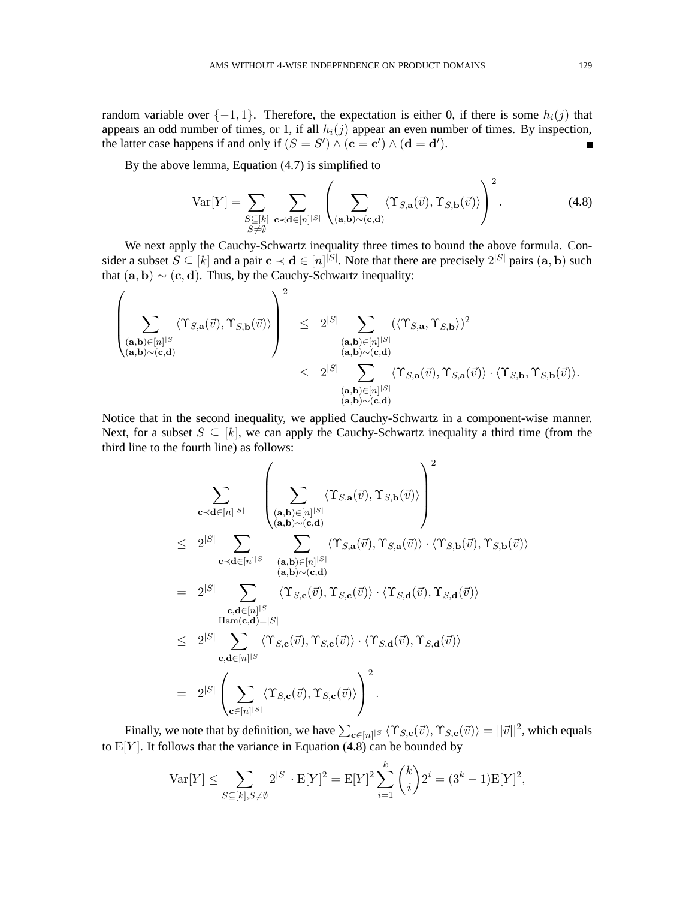random variable over  $\{-1, 1\}$ . Therefore, the expectation is either 0, if there is some  $h_i(j)$  that appears an odd number of times, or 1, if all  $h_i(j)$  appear an even number of times. By inspection, the latter case happens if and only if  $(S = S') \wedge (c = c') \wedge (d = d')$ .  $\blacksquare$ 

By the above lemma, Equation (4.7) is simplified to

$$
\text{Var}[Y] = \sum_{\substack{S \subseteq [k] \\ S \neq \emptyset}} \sum_{\mathbf{c} \prec \mathbf{d} \in [n]^{|S|}} \left( \sum_{(\mathbf{a}, \mathbf{b}) \sim (\mathbf{c}, \mathbf{d})} \langle \Upsilon_{S, \mathbf{a}}(\vec{v}), \Upsilon_{S, \mathbf{b}}(\vec{v}) \rangle \right)^2.
$$
(4.8)

We next apply the Cauchy-Schwartz inequality three times to bound the above formula. Consider a subset  $S \subseteq [k]$  and a pair  $c \prec d \in [n]^{|S|}$ . Note that there are precisely  $2^{|S|}$  pairs  $(a, b)$  such that  $(a, b) \sim (c, d)$ . Thus, by the Cauchy-Schwartz inequality:

$$
\begin{array}{lcl} \left( \underset{(\mathbf{a},\mathbf{b}) \in [n]^{|S|}}{\sum} \langle \Upsilon_{S,\mathbf{a}}(\vec{v}), \Upsilon_{S,\mathbf{b}}(\vec{v}) \rangle \right)^2 & \leq & 2^{|S|} \underset{(\mathbf{a},\mathbf{b}) \in [n]^{|S|}}{\sum} \left( \langle \Upsilon_{S,\mathbf{a}}, \Upsilon_{S,\mathbf{b}} \rangle \right)^2 \\ & \stackrel{(\mathbf{a},\mathbf{b}) \in [n]^{|S|}}{\langle \mathbf{a},\mathbf{b} \rangle \sim (\mathbf{c},\mathbf{d})} \\ & \leq & 2^{|S|} \underset{(\mathbf{a},\mathbf{b}) \in [n]^{|S|}}{\sum} \langle \Upsilon_{S,\mathbf{a}}(\vec{v}), \Upsilon_{S,\mathbf{a}}(\vec{v}) \rangle \cdot \langle \Upsilon_{S,\mathbf{b}}, \Upsilon_{S,\mathbf{b}}(\vec{v}) \rangle. \end{array}
$$

Notice that in the second inequality, we applied Cauchy-Schwartz in a component-wise manner. Next, for a subset  $S \subseteq [k]$ , we can apply the Cauchy-Schwartz inequality a third time (from the third line to the fourth line) as follows:

$$
\sum_{\mathbf{c} \prec \mathbf{d} \in [n]^{|S|}} \left( \sum_{\substack{(\mathbf{a},\mathbf{b}) \in [n]^{|S|} \\ (\mathbf{a},\mathbf{b}) \sim (\mathbf{c},\mathbf{d})}} \langle \Upsilon_{S,\mathbf{a}}(\vec{v}), \Upsilon_{S,\mathbf{b}}(\vec{v}) \rangle \right)^2
$$
\n
$$
\leq 2^{|S|} \sum_{\substack{\mathbf{c} \prec \mathbf{d} \in [n]^{|S|} \\ (\mathbf{a},\mathbf{b}) \sim (\mathbf{c},\mathbf{d})}} \sum_{\substack{(\mathbf{a},\mathbf{b}) \in [n]^{|S|} \\ (\mathbf{a},\mathbf{b}) \sim (\mathbf{c},\mathbf{d})}} \langle \Upsilon_{S,\mathbf{a}}(\vec{v}), \Upsilon_{S,\mathbf{a}}(\vec{v}) \rangle \cdot \langle \Upsilon_{S,\mathbf{b}}(\vec{v}), \Upsilon_{S,\mathbf{b}}(\vec{v}) \rangle
$$
\n
$$
= 2^{|S|} \sum_{\substack{\mathbf{c},\mathbf{d} \in [n]^{|S|} \\ \mathbf{c},\mathbf{d} \in [n]^{|S|}}} \langle \Upsilon_{S,\mathbf{c}}(\vec{v}), \Upsilon_{S,\mathbf{c}}(\vec{v}) \rangle \cdot \langle \Upsilon_{S,\mathbf{d}}(\vec{v}), \Upsilon_{S,\mathbf{d}}(\vec{v}) \rangle
$$
\n
$$
= 2^{|S|} \sum_{\mathbf{c},\mathbf{d} \in [n]^{|S|}} \langle \Upsilon_{S,\mathbf{c}}(\vec{v}), \Upsilon_{S,\mathbf{c}}(\vec{v}) \rangle \Big)^2.
$$

Finally, we note that by definition, we have  $\sum_{\mathbf{c} \in [n]^{|S|}} \langle \Upsilon_{S, \mathbf{c}}(\vec{v}), \Upsilon_{S, \mathbf{c}}(\vec{v}) \rangle = ||\vec{v}||^2$ , which equals to  $E[Y]$ . It follows that the variance in Equation (4.8) can be bounded by

 $\mathbf{r}$ 

$$
\text{Var}[Y] \le \sum_{S \subseteq [k], S \neq \emptyset} 2^{|S|} \cdot \mathbb{E}[Y]^2 = \mathbb{E}[Y]^2 \sum_{i=1}^{\kappa} {k \choose i} 2^i = (3^k - 1)\mathbb{E}[Y]^2,
$$